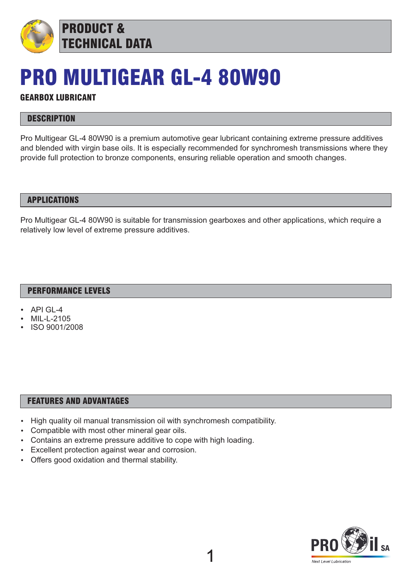

PRODUCT & TECHNICAL DATA

# PRO MULTIGEAR GL-4 80W90

# GEARBOX LUBRICANT

# **DESCRIPTION**

Pro Multigear GL-4 80W90 is a premium automotive gear lubricant containing extreme pressure additives and blended with virgin base oils. It is especially recommended for synchromesh transmissions where they provide full protection to bronze components, ensuring reliable operation and smooth changes.

### APPLICATIONS

Pro Multigear GL-4 80W90 is suitable for transmission gearboxes and other applications, which require a relatively low level of extreme pressure additives.

1

# PERFORMANCE LEVELS

- API GL-4
- MIL-L-2105
- ISO 9001/2008

#### FEATURES AND ADVANTAGES

- High quality oil manual transmission oil with synchromesh compatibility.
- Compatible with most other mineral gear oils.
- Contains an extreme pressure additive to cope with high loading.
- Excellent protection against wear and corrosion.
- Offers good oxidation and thermal stability.